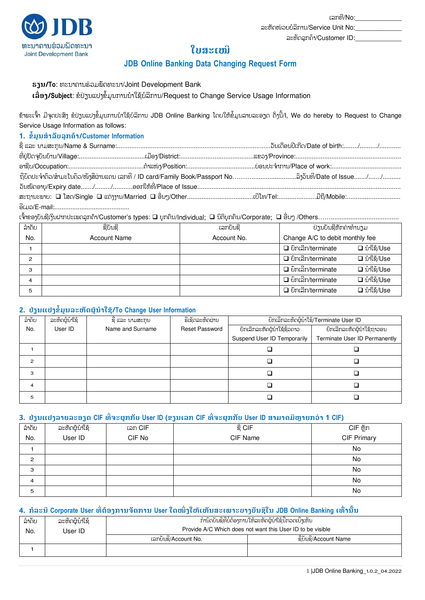ລະຫັດລຸກຄ້າ/Customer ID:

ລະຫັດໜ່ວຍບໍລິການ/Service Unit No:



# **ໃບສະຽໜີ**

## **JDB Online Banking Data Changing Request Form**

**ອງນ/To**: ທະນາຄານຮ່ວມພັດທະນາ/Joint Development Bank

rລື່ອງ/Subject: ຂໍປ່ຽນແປງຂໍ້ມູນການນໍາໃຊ້ບໍລິການ/Request to Change Service Usage Information

ຂ້າພະເຈົ້າ ມີຈຸດປະສິງ ຂໍປຽນແປງຂໍ້ມູນການນຳໃຊ້ບໍລິການ JDB Online Banking ໂດຍໃຫ້ຂໍ້ມູນລາຍລະອຽດ ດັ່ງນີ້/l, We do hereby to Request to Change Service Usage Information as follows:

## **1. ຂ ໍ້ມູນສ າລັບລູກໟາ/Customer Information**

| ຖືບັດປະຈຳຕົວ/ສຳມະໂນຄິວ/ໜັງສືຜ່ານແດນ ເລກທີ / ID card/Family Book/Passport No…………………………ລົງວັນທີ/Date of Issue……/……/……… |  |  |
|----------------------------------------------------------------------------------------------------------------------|--|--|
|                                                                                                                      |  |  |
| ສະຖານະພາບ: □ ໂສດ/Single □ ແຕ່ງງານ/Married □ ອື່ນໆ/Other……………………………………ບີໂທ/Tel………………………………………………………………………………………       |  |  |
|                                                                                                                      |  |  |

ເຈົ້າຂອງບັນຊີເງິນຝາກປະເພດລູກຄ້າ/Customer's types: ❑ ບຸກຄືນ/Individual; ❑ ນິຕິບຸກຄືນ/Corporate; ❑ ອື່ນໆ /Others……………………………………

| ລໍາດັບ         | ຊື່ບັນຊີ            | ເລກບັນຊີ    | ປ່ຽນບັນຊີຫັກຄ່າທໍານຽມ                             |  |
|----------------|---------------------|-------------|---------------------------------------------------|--|
| No.            | <b>Account Name</b> | Account No. | Change A/C to debit monthly fee                   |  |
|                |                     |             | $\square$ ຍິກເລີກ/terminate<br><b>□</b> บำใຊ้/Use |  |
| $\overline{c}$ |                     |             | □ บำใຊ้/Use<br>$\Box$ ยิกเลิก/terminate           |  |
| з              |                     |             | □ บำใຊ้/Use<br>$\Box$ ຍຶກເລີກ/terminate           |  |
| 4              |                     |             | □ บำใຊ้/Use<br>□ ຍົກເລີກ/terminate                |  |
| 5              |                     |             | □ บำใຊ้/Use<br>$\Box$ ຍືກເລີກ/terminate           |  |

### **2. ປ່ຼນປຄຂ ໍ້ມູນລະຫັຈຜູູ້ນ າໃຆູ້/To Change User Information**

| ລໍາດັບ | ລະຫັດຜູ້ນຳໃຊ້ | ຊື ແລະ ນາມສະກຸນ  | ຣີເຊັດລະຫັດຜ່ານ       | ຍິກເລີກລະຫັດຜູ້ນໍາໃຊ້/Terminate User ID |                               |
|--------|---------------|------------------|-----------------------|-----------------------------------------|-------------------------------|
| No.    | User ID       | Name and Surname | <b>Reset Password</b> | ຍິກເລີກລະຫັດຜູ້ນຳໃຊ້ຊິ່ວຄາວ             | ຍິກເລີກລະຫັດຜູ້ນຳໃຊ້ຖາວອນ     |
|        |               |                  |                       | Suspend User ID Temporarily             | Terminate User ID Permanently |
|        |               |                  |                       |                                         |                               |
| 2      |               |                  |                       |                                         |                               |
| 3      |               |                  |                       |                                         |                               |
| 4      |               |                  |                       |                                         |                               |
| 5      |               |                  |                       |                                         |                               |

#### **3. ປ່ຼນປຄລາງລະຬຼຈ CIF ທີື່ະຜູກກັບ User ID (ຂຼນຽລກ CIF ທີື່ະຜູກກັບ User ID ສາມາຈມີຫົາງກວໞາ 1 CIF)**

| ລຳດັບ | ລະຫັດຜູ້ນຳໃຊ້ | ເລກ CIF | ឌុំ CIF  | CIF ຫຼັກ    |
|-------|---------------|---------|----------|-------------|
| No.   | User ID       | CIF No  | CIF Name | CIF Primary |
|       |               |         |          | No          |
| 2     |               |         |          | No          |
| 3     |               |         |          | No          |
| 4     |               |         |          | No          |
| 5     |               |         |          | No          |

### **4. ກ ລະນີCorporate User ທີື່ຉໟຬຄການັຈການ User ໃຈໜຶື່ຄໃຫູ້ຽຫັນສະຽພາະບາຄບັນຆີໃນ JDB Online Banking ຽທ຺ື່ານັໍ້ນ**

| ລຳດັບ | ລະຫັດຜູ້ນຳໃຊ້ | ກຳນົດບັນຊີທີ່ບໍ່ຕ້ອງການໃຫ້ລະຫັດຜູ້ນຳໃຊ້ນີ້ກວດເບິ່ງເຫັນ     |                       |
|-------|---------------|------------------------------------------------------------|-----------------------|
| No.   | User ID       | Provide A/C Which does not want this User ID to be visible |                       |
|       |               | ເລກບັນຂີ/Account No.                                       | ຊື່ບັນຊີ/Account Name |
|       |               |                                                            |                       |